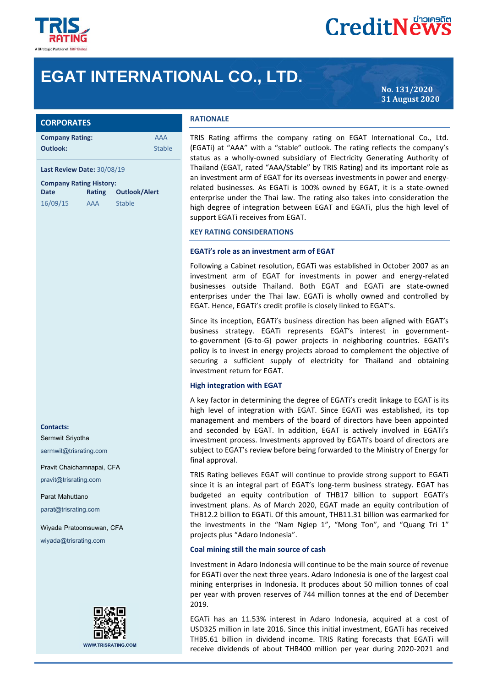

# **CreditNews**

# **EGAT INTERNATIONAL CO., LTD.**

**No. 131/2020 31 August 2020**

|  |  |  |  | <b>CORPORATES</b> |
|--|--|--|--|-------------------|
|  |  |  |  |                   |
|  |  |  |  |                   |

| <b>Company Rating:</b> | AAA           |
|------------------------|---------------|
| Outlook:               | <b>Stable</b> |

#### **Last Review Date:** 30/08/19

| <b>Company Rating History:</b> |            |               |  |  |  |
|--------------------------------|------------|---------------|--|--|--|
| Date                           | Rating     | Outlook/Alert |  |  |  |
| 16/09/15                       | <b>AAA</b> | <b>Stable</b> |  |  |  |

# **Contacts:**

Sermwit Sriyotha

sermwit@trisrating.com

Pravit Chaichamnapai, CFA pravit@trisrating.com

Parat Mahuttano parat@trisrating.com

Wiyada Pratoomsuwan, CFA wiyada@trisrating.com



#### **RATIONALE**

TRIS Rating affirms the company rating on EGAT International Co., Ltd. (EGATi) at "AAA" with a "stable" outlook. The rating reflects the company's status as a wholly-owned subsidiary of Electricity Generating Authority of Thailand (EGAT, rated "AAA/Stable" by TRIS Rating) and its important role as an investment arm of EGAT for its overseas investments in power and energyrelated businesses. As EGATi is 100% owned by EGAT, it is a state-owned enterprise under the Thai law. The rating also takes into consideration the high degree of integration between EGAT and EGATi, plus the high level of support EGATi receives from EGAT.

#### **KEY RATING CONSIDERATIONS**

#### **EGATi's role as an investment arm of EGAT**

Following a Cabinet resolution, EGATi was established in October 2007 as an investment arm of EGAT for investments in power and energy-related businesses outside Thailand. Both EGAT and EGATi are state-owned enterprises under the Thai law. EGATi is wholly owned and controlled by EGAT. Hence, EGATi's credit profile is closely linked to EGAT's.

Since its inception, EGATi's business direction has been aligned with EGAT's business strategy. EGATi represents EGAT's interest in governmentto-government (G-to-G) power projects in neighboring countries. EGATi's policy is to invest in energy projects abroad to complement the objective of securing a sufficient supply of electricity for Thailand and obtaining investment return for EGAT.

#### **High integration with EGAT**

A key factor in determining the degree of EGATi's credit linkage to EGAT is its high level of integration with EGAT. Since EGATi was established, its top management and members of the board of directors have been appointed and seconded by EGAT. In addition, EGAT is actively involved in EGATi's investment process. Investments approved by EGATi's board of directors are subject to EGAT's review before being forwarded to the Ministry of Energy for final approval.

TRIS Rating believes EGAT will continue to provide strong support to EGATi since it is an integral part of EGAT's long-term business strategy. EGAT has budgeted an equity contribution of THB17 billion to support EGATi's investment plans. As of March 2020, EGAT made an equity contribution of THB12.2 billion to EGATi. Of this amount, THB11.31 billion was earmarked for the investments in the "Nam Ngiep 1", "Mong Ton", and "Quang Tri 1" projects plus "Adaro Indonesia".

#### **Coal mining still the main source of cash**

Investment in Adaro Indonesia will continue to be the main source of revenue for EGATi over the next three years. Adaro Indonesia is one of the largest coal mining enterprises in Indonesia. It produces about 50 million tonnes of coal per year with proven reserves of 744 million tonnes at the end of December 2019.

EGATi has an 11.53% interest in Adaro Indonesia, acquired at a cost of USD325 million in late 2016. Since this initial investment, EGATi has received THB5.61 billion in dividend income. TRIS Rating forecasts that EGATi will receive dividends of about THB400 million per year during 2020-2021 and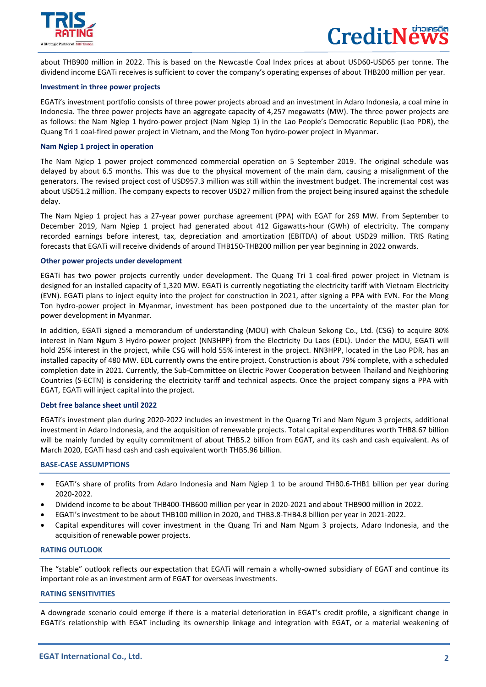

 $\overline{a}$ 

about THB900 million in 2022. This is based on the Newcastle Coal Index prices at about USD60-USD65 per tonne. The dividend income EGATi receives is sufficient to cover the company's operating expenses of about THB200 million per year.

# **Investment in three power projects**

EGATi's investment portfolio consists of three power projects abroad and an investment in Adaro Indonesia, a coal mine in Indonesia. The three power projects have an aggregate capacity of 4,257 megawatts (MW). The three power projects are as follows: the Nam Ngiep 1 hydro-power project (Nam Ngiep 1) in the Lao People's Democratic Republic (Lao PDR), the Quang Tri 1 coal-fired power project in Vietnam, and the Mong Ton hydro-power project in Myanmar.

# **Nam Ngiep 1 project in operation**

The Nam Ngiep 1 power project commenced commercial operation on 5 September 2019. The original schedule was delayed by about 6.5 months. This was due to the physical movement of the main dam, causing a misalignment of the generators. The revised project cost of USD957.3 million was still within the investment budget. The incremental cost was about USD51.2 million. The company expects to recover USD27 million from the project being insured against the schedule delay.

The Nam Ngiep 1 project has a 27-year power purchase agreement (PPA) with EGAT for 269 MW. From September to December 2019, Nam Ngiep 1 project had generated about 412 Gigawatts-hour (GWh) of electricity. The company recorded earnings before interest, tax, depreciation and amortization (EBITDA) of about USD29 million. TRIS Rating forecasts that EGATi will receive dividends of around THB150-THB200 million per year beginning in 2022 onwards.

# **Other power projects under development**

EGATi has two power projects currently under development. The Quang Tri 1 coal-fired power project in Vietnam is designed for an installed capacity of 1,320 MW. EGATi is currently negotiating the electricity tariff with Vietnam Electricity (EVN). EGATi plans to inject equity into the project for construction in 2021, after signing a PPA with EVN. For the Mong Ton hydro-power project in Myanmar, investment has been postponed due to the uncertainty of the master plan for power development in Myanmar.

In addition, EGATi signed a memorandum of understanding (MOU) with Chaleun Sekong Co., Ltd. (CSG) to acquire 80% interest in Nam Ngum 3 Hydro-power project (NN3HPP) from the Electricity Du Laos (EDL). Under the MOU, EGATi will hold 25% interest in the project, while CSG will hold 55% interest in the project. NN3HPP, located in the Lao PDR, has an installed capacity of 480 MW. EDL currently owns the entire project. Construction is about 79% complete, with a scheduled completion date in 2021. Currently, the Sub-Committee on Electric Power Cooperation between Thailand and Neighboring Countries (S-ECTN) is considering the electricity tariff and technical aspects. Once the project company signs a PPA with EGAT, EGATi will inject capital into the project.

#### **Debt free balance sheet until 2022**

EGATi's investment plan during 2020-2022 includes an investment in the Quarng Tri and Nam Ngum 3 projects, additional investment in Adaro Indonesia, and the acquisition of renewable projects. Total capital expenditures worth THB8.67 billion will be mainly funded by equity commitment of about THB5.2 billion from EGAT, and its cash and cash equivalent. As of March 2020, EGATi hasd cash and cash equivalent worth THB5.96 billion.

#### **BASE-CASE ASSUMPTIONS**

- EGATi's share of profits from Adaro Indonesia and Nam Ngiep 1 to be around THB0.6-THB1 billion per year during 2020-2022.
- Dividend income to be about THB400-THB600 million per year in 2020-2021 and about THB900 million in 2022.
- EGATi's investment to be about THB100 million in 2020, and THB3.8-THB4.8 billion per year in 2021-2022.
- Capital expenditures will cover investment in the Quang Tri and Nam Ngum 3 projects, Adaro Indonesia, and the acquisition of renewable power projects.

# **RATING OUTLOOK**

The "stable" outlook reflects our expectation that EGATi will remain a wholly-owned subsidiary of EGAT and continue its important role as an investment arm of EGAT for overseas investments.

# **RATING SENSITIVITIES**

I

A downgrade scenario could emerge if there is a material deterioration in EGAT's credit profile, a significant change in EGATi's relationship with EGAT including its ownership linkage and integration with EGAT, or a material weakening of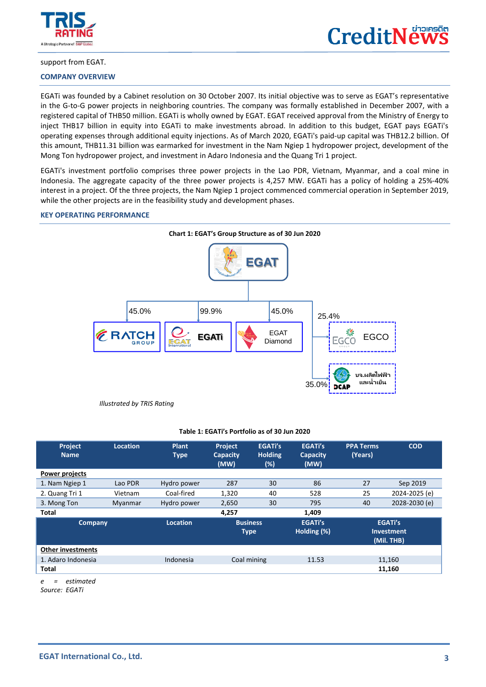

 $\overline{a}$ 



#### support from EGAT.

# **COMPANY OVERVIEW**

EGATi was founded by a Cabinet resolution on 30 October 2007. Its initial objective was to serve as EGAT's representative in the G-to-G power projects in neighboring countries. The company was formally established in December 2007, with a registered capital of THB50 million. EGATi is wholly owned by EGAT. EGAT received approval from the Ministry of Energy to inject THB17 billion in equity into EGATi to make investments abroad. In addition to this budget, EGAT pays EGATi's operating expenses through additional equity injections. As of March 2020, EGATi's paid-up capital was THB12.2 billion. Of this amount, THB11.31 billion was earmarked for investment in the Nam Ngiep 1 hydropower project, development of the Mong Ton hydropower project, and investment in Adaro Indonesia and the Quang Tri 1 project.

EGATi's investment portfolio comprises three power projects in the Lao PDR, Vietnam, Myanmar, and a coal mine in Indonesia. The aggregate capacity of the three power projects is 4,257 MW. EGATi has a policy of holding a 25%-40% interest in a project. Of the three projects, the Nam Ngiep 1 project commenced commercial operation in September 2019, while the other projects are in the feasibility study and development phases.

#### **KEY OPERATING PERFORMANCE**



#### **Table 1: EGATi's Portfolio as of 30 Jun 2020**

| Project<br><b>Name</b>   | <b>Location</b> | Plant<br><b>Type</b> | <b>Project</b><br><b>Capacity</b><br>(MW) | <b>EGATi's</b><br><b>Holding</b><br>$(\%)$ | <b>EGATi's</b><br><b>Capacity</b><br>(MW) | <b>PPA Terms</b><br>(Years) | <b>COD</b>                                        |  |
|--------------------------|-----------------|----------------------|-------------------------------------------|--------------------------------------------|-------------------------------------------|-----------------------------|---------------------------------------------------|--|
| <b>Power projects</b>    |                 |                      |                                           |                                            |                                           |                             |                                                   |  |
| 1. Nam Ngiep 1           | Lao PDR         | Hydro power          | 287                                       | 30                                         | 86                                        | 27                          | Sep 2019                                          |  |
| 2. Quang Tri 1           | Vietnam         | Coal-fired           | 1,320                                     | 40                                         | 528                                       | 25                          | 2024-2025 (e)                                     |  |
| 3. Mong Ton              | Myanmar         | Hydro power          | 2,650                                     | 30                                         | 795                                       | 40                          | 2028-2030 (e)                                     |  |
| <b>Total</b>             |                 |                      | 4.257                                     |                                            | 1,409                                     |                             |                                                   |  |
| <b>Company</b>           |                 | <b>Location</b>      | <b>Business</b><br><b>Type</b>            |                                            | <b>EGATi's</b><br>Holding (%)             |                             | <b>EGATi's</b><br><b>Investment</b><br>(Mil. THB) |  |
| <b>Other investments</b> |                 |                      |                                           |                                            |                                           |                             |                                                   |  |
| 1. Adaro Indonesia       |                 | Indonesia            | Coal mining                               |                                            | 11.53                                     |                             | 11,160                                            |  |
| Total                    |                 |                      |                                           |                                            |                                           |                             | 11,160                                            |  |

*e = estimated*

*Source: EGATi*

I